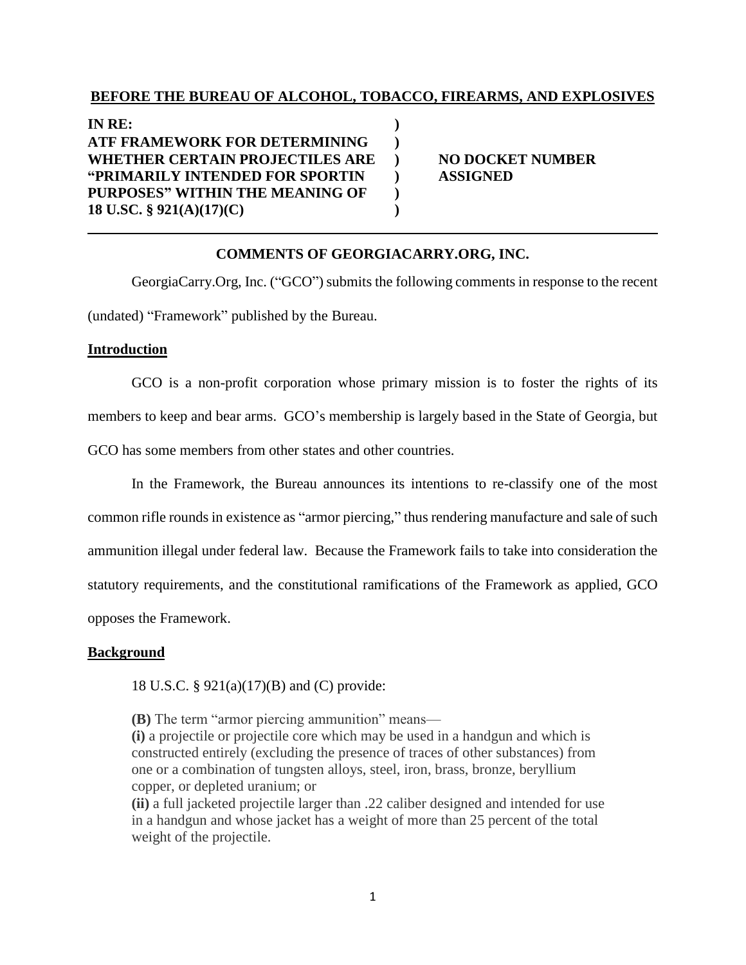# **BEFORE THE BUREAU OF ALCOHOL, TOBACCO, FIREARMS, AND EXPLOSIVES**

**IN RE: ) ATF FRAMEWORK FOR DETERMINING ) WHETHER CERTAIN PROJECTILES ARE ) NO DOCKET NUMBER "PRIMARILY INTENDED FOR SPORTIN ) ASSIGNED PURPOSES" WITHIN THE MEANING OF ) 18 U.SC. § 921(A)(17)(C) )**

# **COMMENTS OF GEORGIACARRY.ORG, INC.**

GeorgiaCarry.Org, Inc. ("GCO") submits the following comments in response to the recent (undated) "Framework" published by the Bureau.

### **Introduction**

GCO is a non-profit corporation whose primary mission is to foster the rights of its members to keep and bear arms. GCO's membership is largely based in the State of Georgia, but GCO has some members from other states and other countries.

In the Framework, the Bureau announces its intentions to re-classify one of the most common rifle rounds in existence as "armor piercing," thus rendering manufacture and sale of such ammunition illegal under federal law. Because the Framework fails to take into consideration the statutory requirements, and the constitutional ramifications of the Framework as applied, GCO opposes the Framework.

### **Background**

18 U.S.C. § 921(a)(17)(B) and (C) provide:

**(B)** The term "armor piercing ammunition" means— **(i)** a projectile or projectile core which may be used in a handgun and which is constructed entirely (excluding the presence of traces of other substances) from one or a combination of tungsten alloys, steel, iron, brass, bronze, beryllium copper, or depleted uranium; or

**(ii)** a full jacketed projectile larger than .22 caliber designed and intended for use in a handgun and whose jacket has a weight of more than 25 percent of the total weight of the projectile.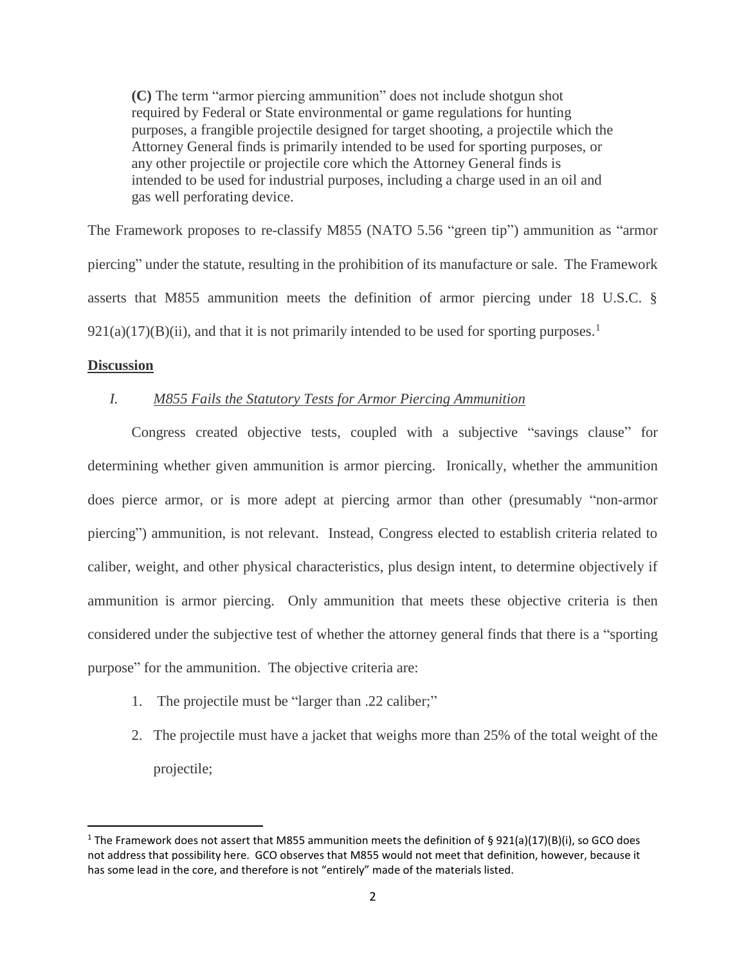**(C)** The term "armor piercing ammunition" does not include shotgun shot required by Federal or State environmental or game regulations for hunting purposes, a frangible projectile designed for target shooting, a projectile which the Attorney General finds is primarily intended to be used for sporting purposes, or any other projectile or projectile core which the Attorney General finds is intended to be used for industrial purposes, including a charge used in an oil and gas well perforating device.

The Framework proposes to re-classify M855 (NATO 5.56 "green tip") ammunition as "armor piercing" under the statute, resulting in the prohibition of its manufacture or sale. The Framework asserts that M855 ammunition meets the definition of armor piercing under 18 U.S.C. §  $921(a)(17)(B)(ii)$ , and that it is not primarily intended to be used for sporting purposes.<sup>1</sup>

### **Discussion**

 $\overline{\phantom{a}}$ 

# *I. M855 Fails the Statutory Tests for Armor Piercing Ammunition*

Congress created objective tests, coupled with a subjective "savings clause" for determining whether given ammunition is armor piercing. Ironically, whether the ammunition does pierce armor, or is more adept at piercing armor than other (presumably "non-armor piercing") ammunition, is not relevant. Instead, Congress elected to establish criteria related to caliber, weight, and other physical characteristics, plus design intent, to determine objectively if ammunition is armor piercing. Only ammunition that meets these objective criteria is then considered under the subjective test of whether the attorney general finds that there is a "sporting purpose" for the ammunition. The objective criteria are:

- 1. The projectile must be "larger than .22 caliber;"
- 2. The projectile must have a jacket that weighs more than 25% of the total weight of the projectile;

<sup>&</sup>lt;sup>1</sup> The Framework does not assert that M855 ammunition meets the definition of § 921(a)(17)(B)(i), so GCO does not address that possibility here. GCO observes that M855 would not meet that definition, however, because it has some lead in the core, and therefore is not "entirely" made of the materials listed.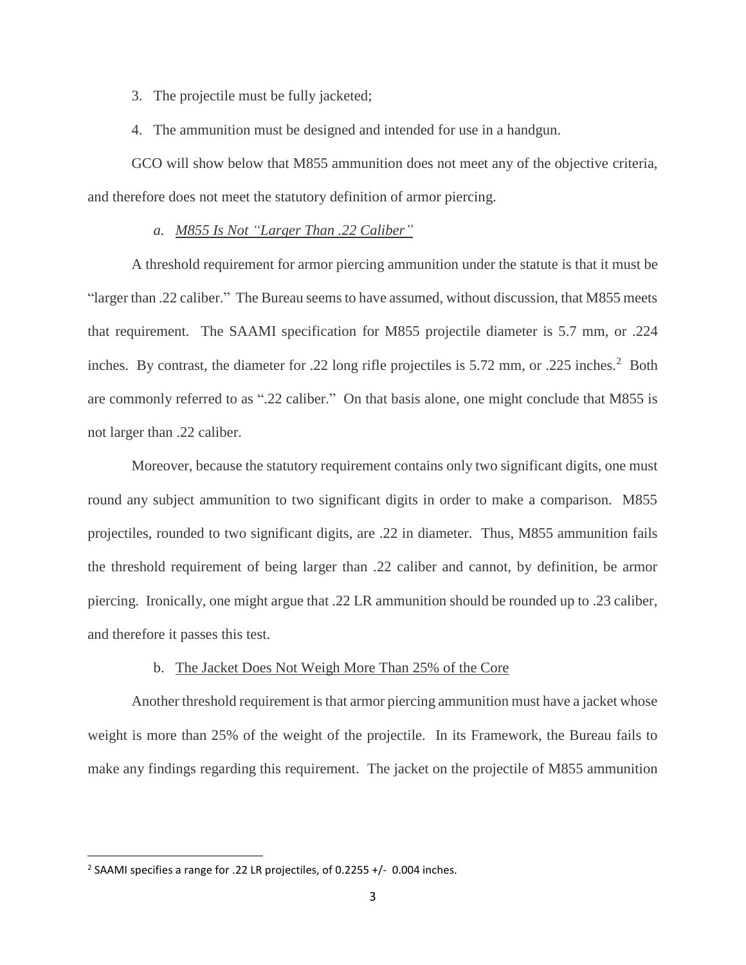- 3. The projectile must be fully jacketed;
- 4. The ammunition must be designed and intended for use in a handgun.

GCO will show below that M855 ammunition does not meet any of the objective criteria, and therefore does not meet the statutory definition of armor piercing.

# *a. M855 Is Not "Larger Than .22 Caliber"*

A threshold requirement for armor piercing ammunition under the statute is that it must be "larger than .22 caliber." The Bureau seems to have assumed, without discussion, that M855 meets that requirement. The SAAMI specification for M855 projectile diameter is 5.7 mm, or .224 inches. By contrast, the diameter for .22 long rifle projectiles is 5.72 mm, or .225 inches.<sup>2</sup> Both are commonly referred to as ".22 caliber." On that basis alone, one might conclude that M855 is not larger than .22 caliber.

Moreover, because the statutory requirement contains only two significant digits, one must round any subject ammunition to two significant digits in order to make a comparison. M855 projectiles, rounded to two significant digits, are .22 in diameter. Thus, M855 ammunition fails the threshold requirement of being larger than .22 caliber and cannot, by definition, be armor piercing. Ironically, one might argue that .22 LR ammunition should be rounded up to .23 caliber, and therefore it passes this test.

### b. The Jacket Does Not Weigh More Than 25% of the Core

Another threshold requirement is that armor piercing ammunition must have a jacket whose weight is more than 25% of the weight of the projectile. In its Framework, the Bureau fails to make any findings regarding this requirement. The jacket on the projectile of M855 ammunition

 $\overline{\phantom{a}}$ 

<sup>&</sup>lt;sup>2</sup> SAAMI specifies a range for .22 LR projectiles, of 0.2255  $+/-$  0.004 inches.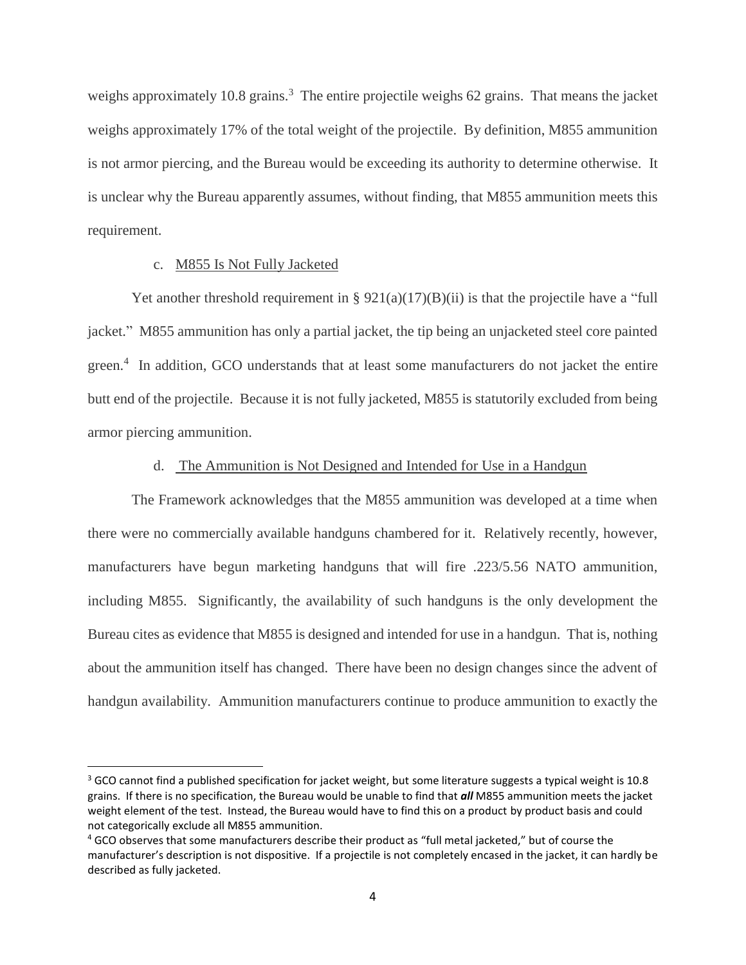weighs approximately 10.8 grains.<sup>3</sup> The entire projectile weighs 62 grains. That means the jacket weighs approximately 17% of the total weight of the projectile. By definition, M855 ammunition is not armor piercing, and the Bureau would be exceeding its authority to determine otherwise. It is unclear why the Bureau apparently assumes, without finding, that M855 ammunition meets this requirement.

# c. M855 Is Not Fully Jacketed

 $\overline{\phantom{a}}$ 

Yet another threshold requirement in §  $921(a)(17)(B)(ii)$  is that the projectile have a "full jacket." M855 ammunition has only a partial jacket, the tip being an unjacketed steel core painted green.<sup>4</sup> In addition, GCO understands that at least some manufacturers do not jacket the entire butt end of the projectile. Because it is not fully jacketed, M855 is statutorily excluded from being armor piercing ammunition.

# d. The Ammunition is Not Designed and Intended for Use in a Handgun

The Framework acknowledges that the M855 ammunition was developed at a time when there were no commercially available handguns chambered for it. Relatively recently, however, manufacturers have begun marketing handguns that will fire .223/5.56 NATO ammunition, including M855. Significantly, the availability of such handguns is the only development the Bureau cites as evidence that M855 is designed and intended for use in a handgun. That is, nothing about the ammunition itself has changed. There have been no design changes since the advent of handgun availability. Ammunition manufacturers continue to produce ammunition to exactly the

 $3$  GCO cannot find a published specification for jacket weight, but some literature suggests a typical weight is 10.8 grains. If there is no specification, the Bureau would be unable to find that *all* M855 ammunition meets the jacket weight element of the test. Instead, the Bureau would have to find this on a product by product basis and could not categorically exclude all M855 ammunition.

<sup>4</sup> GCO observes that some manufacturers describe their product as "full metal jacketed," but of course the manufacturer's description is not dispositive. If a projectile is not completely encased in the jacket, it can hardly be described as fully jacketed.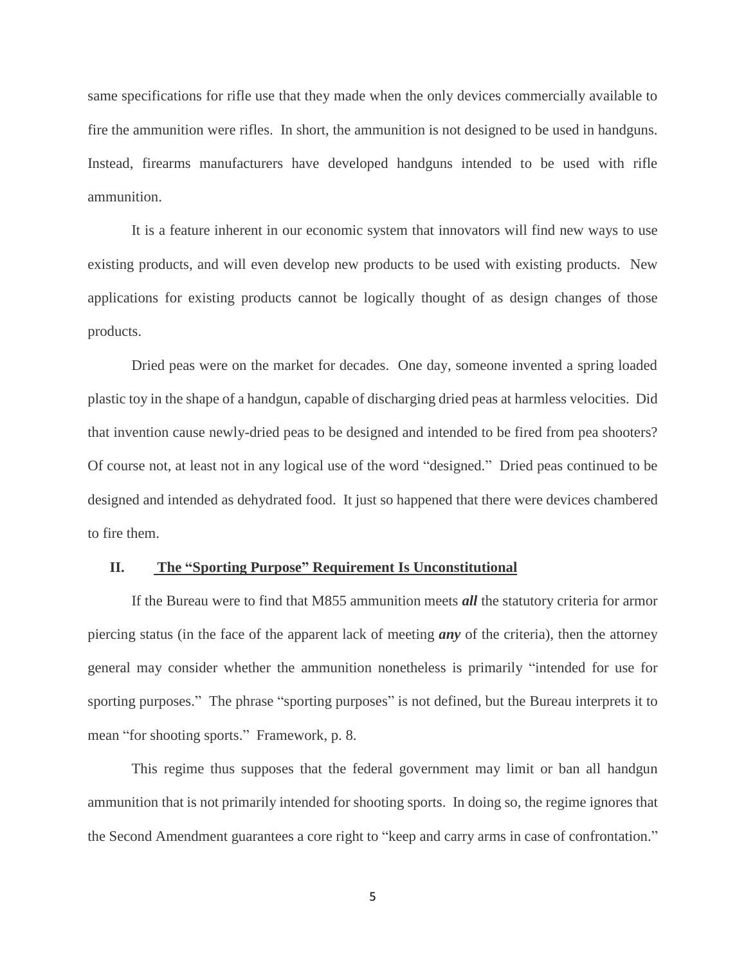same specifications for rifle use that they made when the only devices commercially available to fire the ammunition were rifles. In short, the ammunition is not designed to be used in handguns. Instead, firearms manufacturers have developed handguns intended to be used with rifle ammunition.

It is a feature inherent in our economic system that innovators will find new ways to use existing products, and will even develop new products to be used with existing products. New applications for existing products cannot be logically thought of as design changes of those products.

Dried peas were on the market for decades. One day, someone invented a spring loaded plastic toy in the shape of a handgun, capable of discharging dried peas at harmless velocities. Did that invention cause newly-dried peas to be designed and intended to be fired from pea shooters? Of course not, at least not in any logical use of the word "designed." Dried peas continued to be designed and intended as dehydrated food. It just so happened that there were devices chambered to fire them.

#### **II. The "Sporting Purpose" Requirement Is Unconstitutional**

If the Bureau were to find that M855 ammunition meets *all* the statutory criteria for armor piercing status (in the face of the apparent lack of meeting *any* of the criteria), then the attorney general may consider whether the ammunition nonetheless is primarily "intended for use for sporting purposes." The phrase "sporting purposes" is not defined, but the Bureau interprets it to mean "for shooting sports." Framework, p. 8.

This regime thus supposes that the federal government may limit or ban all handgun ammunition that is not primarily intended for shooting sports. In doing so, the regime ignores that the Second Amendment guarantees a core right to "keep and carry arms in case of confrontation."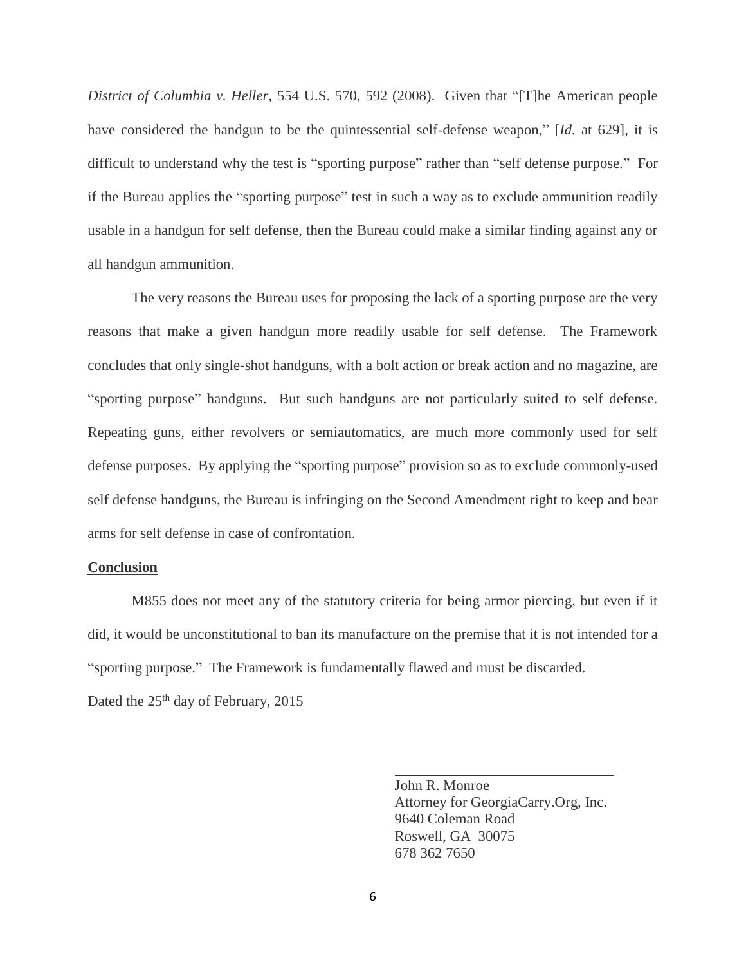*District of Columbia v. Heller,* 554 U.S. 570, 592 (2008). Given that "[T]he American people have considered the handgun to be the quintessential self-defense weapon," [*Id.* at 629], it is difficult to understand why the test is "sporting purpose" rather than "self defense purpose." For if the Bureau applies the "sporting purpose" test in such a way as to exclude ammunition readily usable in a handgun for self defense, then the Bureau could make a similar finding against any or all handgun ammunition.

The very reasons the Bureau uses for proposing the lack of a sporting purpose are the very reasons that make a given handgun more readily usable for self defense. The Framework concludes that only single-shot handguns, with a bolt action or break action and no magazine, are "sporting purpose" handguns. But such handguns are not particularly suited to self defense. Repeating guns, either revolvers or semiautomatics, are much more commonly used for self defense purposes. By applying the "sporting purpose" provision so as to exclude commonly-used self defense handguns, the Bureau is infringing on the Second Amendment right to keep and bear arms for self defense in case of confrontation.

#### **Conclusion**

M855 does not meet any of the statutory criteria for being armor piercing, but even if it did, it would be unconstitutional to ban its manufacture on the premise that it is not intended for a "sporting purpose." The Framework is fundamentally flawed and must be discarded.

Dated the 25<sup>th</sup> day of February, 2015

John R. Monroe Attorney for GeorgiaCarry.Org, Inc. 9640 Coleman Road Roswell, GA 30075 678 362 7650